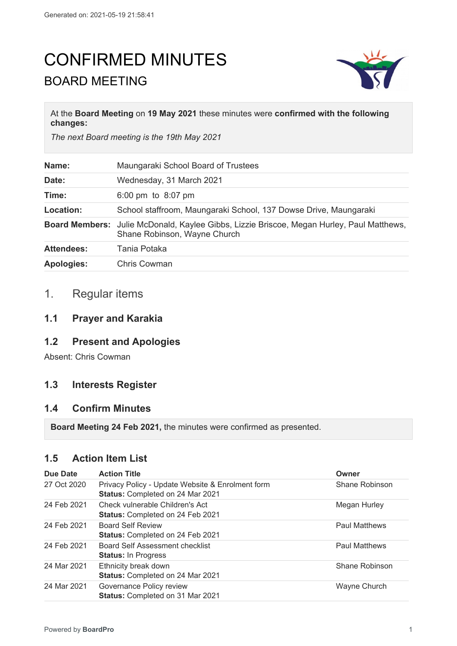# CONFIRMED MINUTES BOARD MEETING



#### At the **Board Meeting** on **19 May 2021** these minutes were **confirmed with the following changes:**

*The next Board meeting is the 19th May 2021*

| Name:             | Maungaraki School Board of Trustees                                                                                              |
|-------------------|----------------------------------------------------------------------------------------------------------------------------------|
| Date:             | Wednesday, 31 March 2021                                                                                                         |
| Time:             | 6:00 pm to $8:07$ pm                                                                                                             |
| Location:         | School staffroom, Maungaraki School, 137 Dowse Drive, Maungaraki                                                                 |
|                   | <b>Board Members:</b> Julie McDonald, Kaylee Gibbs, Lizzie Briscoe, Megan Hurley, Paul Matthews,<br>Shane Robinson, Wayne Church |
| <b>Attendees:</b> | Tania Potaka                                                                                                                     |
| <b>Apologies:</b> | <b>Chris Cowman</b>                                                                                                              |

# 1. Regular items

## **1.1 Prayer and Karakia**

# **1.2 Present and Apologies**

Absent: Chris Cowman

# **1.3 Interests Register**

#### **1.4 Confirm Minutes**

**Board Meeting 24 Feb 2021,** the minutes were confirmed as presented.

# **1.5 Action Item List**

| Due Date    | <b>Action Title</b>                                                                  | Owner                |
|-------------|--------------------------------------------------------------------------------------|----------------------|
| 27 Oct 2020 | Privacy Policy - Update Website & Enrolment form<br>Status: Completed on 24 Mar 2021 | Shane Robinson       |
| 24 Feb 2021 | Check vulnerable Children's Act<br>Status: Completed on 24 Feb 2021                  | Megan Hurley         |
| 24 Feb 2021 | <b>Board Self Review</b><br>Status: Completed on 24 Feb 2021                         | <b>Paul Matthews</b> |
| 24 Feb 2021 | Board Self Assessment checklist<br><b>Status: In Progress</b>                        | <b>Paul Matthews</b> |
| 24 Mar 2021 | Ethnicity break down<br>Status: Completed on 24 Mar 2021                             | Shane Robinson       |
| 24 Mar 2021 | Governance Policy review<br>Status: Completed on 31 Mar 2021                         | Wayne Church         |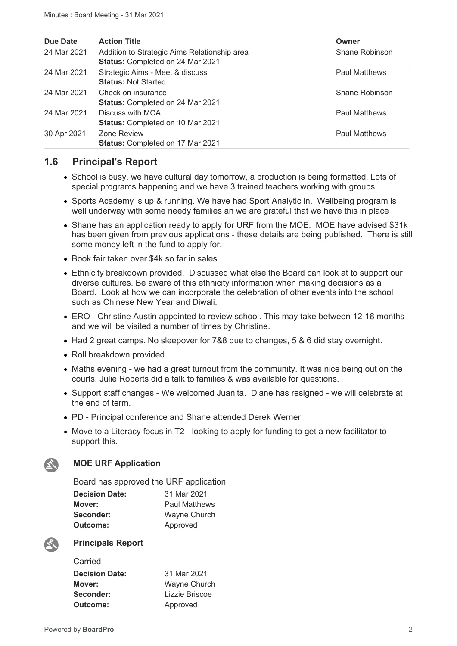| Due Date    | <b>Action Title</b>                                                              | Owner                |
|-------------|----------------------------------------------------------------------------------|----------------------|
| 24 Mar 2021 | Addition to Strategic Aims Relationship area<br>Status: Completed on 24 Mar 2021 | Shane Robinson       |
| 24 Mar 2021 | Strategic Aims - Meet & discuss<br><b>Status: Not Started</b>                    | <b>Paul Matthews</b> |
| 24 Mar 2021 | Check on insurance<br><b>Status: Completed on 24 Mar 2021</b>                    | Shane Robinson       |
| 24 Mar 2021 | Discuss with MCA<br>Status: Completed on 10 Mar 2021                             | <b>Paul Matthews</b> |
| 30 Apr 2021 | Zone Review<br><b>Status: Completed on 17 Mar 2021</b>                           | <b>Paul Matthews</b> |

## **1.6 Principal's Report**

- School is busy, we have cultural day tomorrow, a production is being formatted. Lots of special programs happening and we have 3 trained teachers working with groups.
- Sports Academy is up & running. We have had Sport Analytic in. Wellbeing program is well underway with some needy families an we are grateful that we have this in place
- Shane has an application ready to apply for URF from the MOE. MOE have advised \$31k has been given from previous applications - these details are being published. There is still some money left in the fund to apply for.
- Book fair taken over \$4k so far in sales
- Ethnicity breakdown provided. Discussed what else the Board can look at to support our diverse cultures. Be aware of this ethnicity information when making decisions as a Board. Look at how we can incorporate the celebration of other events into the school such as Chinese New Year and Diwali.
- ERO Christine Austin appointed to review school. This may take between 12-18 months and we will be visited a number of times by Christine.
- Had 2 great camps. No sleepover for 7&8 due to changes, 5 & 6 did stay overnight.
- Roll breakdown provided.
- Maths evening we had a great turnout from the community. It was nice being out on the courts. Julie Roberts did a talk to families & was available for questions.
- Support staff changes We welcomed Juanita. Diane has resigned we will celebrate at the end of term.
- PD Principal conference and Shane attended Derek Werner.
- Move to a Literacy focus in T2 looking to apply for funding to get a new facilitator to support this.

#### **MOE URF Application**

Board has approved the URF application.

| <b>Decision Date:</b> | 31 Mar 2021          |
|-----------------------|----------------------|
| Mover:                | <b>Paul Matthews</b> |
| Seconder:             | Wayne Church         |
| Outcome:              | Approved             |



公

**Principals Report**

| Carried               |                |
|-----------------------|----------------|
| <b>Decision Date:</b> | 31 Mar 2021    |
| Mover:                | Wayne Church   |
| Seconder:             | Lizzie Briscoe |
| Outcome:              | Approved       |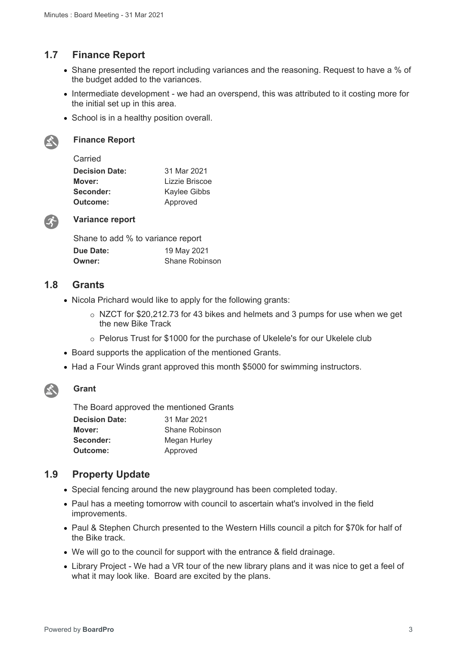# **1.7 Finance Report**

- Shane presented the report including variances and the reasoning. Request to have a % of the budget added to the variances.
- Intermediate development we had an overspend, this was attributed to it costing more for the initial set up in this area.
- School is in a healthy position overall.



#### **Finance Report**

#### Carried

| <b>Decision Date:</b> | 31 Mar 2021    |
|-----------------------|----------------|
| Mover:                | Lizzie Briscoe |
| Seconder:             | Kaylee Gibbs   |
| Outcome:              | Approved       |
|                       |                |



#### **Variance report**

| Shane to add % to variance report |                       |
|-----------------------------------|-----------------------|
| Due Date:                         | 19 May 2021           |
| Owner:                            | <b>Shane Robinson</b> |

## **1.8 Grants**

- Nicola Prichard would like to apply for the following grants:
	- o NZCT for \$20,212.73 for 43 bikes and helmets and 3 pumps for use when we get the new Bike Track
	- o Pelorus Trust for \$1000 for the purchase of Ukelele's for our Ukelele club
- Board supports the application of the mentioned Grants.
- Had a Four Winds grant approved this month \$5000 for swimming instructors.



#### **Grant**

The Board approved the mentioned Grants

| <b>Decision Date:</b> | 31 Mar 2021    |
|-----------------------|----------------|
| Mover:                | Shane Robinson |
| Seconder:             | Megan Hurley   |
| Outcome:              | Approved       |

## **1.9 Property Update**

- Special fencing around the new playground has been completed today.
- Paul has a meeting tomorrow with council to ascertain what's involved in the field improvements.
- Paul & Stephen Church presented to the Western Hills council a pitch for \$70k for half of the Bike track.
- We will go to the council for support with the entrance & field drainage.
- Library Project We had a VR tour of the new library plans and it was nice to get a feel of what it may look like. Board are excited by the plans.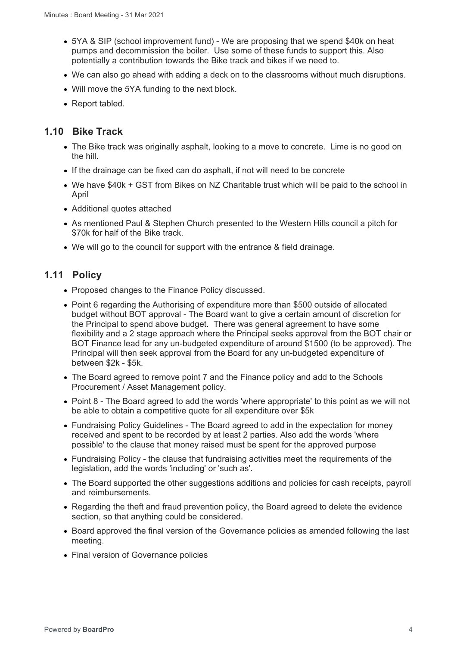- 5YA & SIP (school improvement fund) We are proposing that we spend \$40k on heat pumps and decommission the boiler. Use some of these funds to support this. Also potentially a contribution towards the Bike track and bikes if we need to.
- We can also go ahead with adding a deck on to the classrooms without much disruptions.
- Will move the 5YA funding to the next block.
- Report tabled.

## **1.10 Bike Track**

- The Bike track was originally asphalt, looking to a move to concrete. Lime is no good on the hill.
- If the drainage can be fixed can do asphalt, if not will need to be concrete
- We have \$40k + GST from Bikes on NZ Charitable trust which will be paid to the school in April
- Additional quotes attached
- As mentioned Paul & Stephen Church presented to the Western Hills council a pitch for \$70k for half of the Bike track.
- We will go to the council for support with the entrance & field drainage.

## **1.11 Policy**

- Proposed changes to the Finance Policy discussed.
- Point 6 regarding the Authorising of expenditure more than \$500 outside of allocated budget without BOT approval - The Board want to give a certain amount of discretion for the Principal to spend above budget. There was general agreement to have some flexibility and a 2 stage approach where the Principal seeks approval from the BOT chair or BOT Finance lead for any un-budgeted expenditure of around \$1500 (to be approved). The Principal will then seek approval from the Board for any un-budgeted expenditure of between \$2k - \$5k.
- The Board agreed to remove point 7 and the Finance policy and add to the Schools Procurement / Asset Management policy.
- Point 8 The Board agreed to add the words 'where appropriate' to this point as we will not be able to obtain a competitive quote for all expenditure over \$5k
- Fundraising Policy Guidelines The Board agreed to add in the expectation for money received and spent to be recorded by at least 2 parties. Also add the words 'where possible' to the clause that money raised must be spent for the approved purpose
- Fundraising Policy the clause that fundraising activities meet the requirements of the legislation, add the words 'including' or 'such as'.
- The Board supported the other suggestions additions and policies for cash receipts, payroll and reimbursements.
- Regarding the theft and fraud prevention policy, the Board agreed to delete the evidence section, so that anything could be considered.
- Board approved the final version of the Governance policies as amended following the last meeting.
- Final version of Governance policies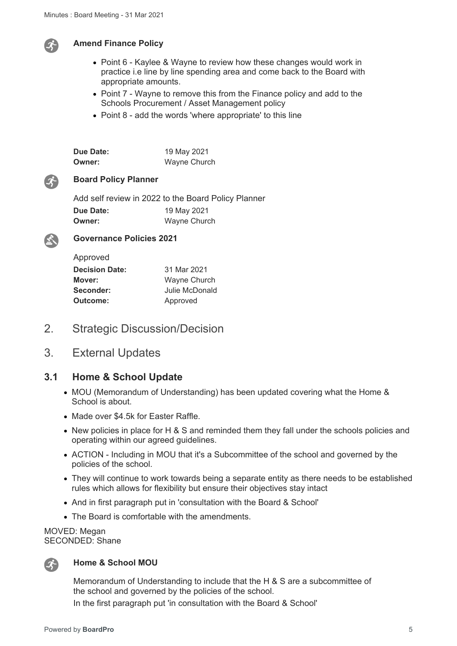

#### **Amend Finance Policy**

- Point 6 Kaylee & Wayne to review how these changes would work in practice i.e line by line spending area and come back to the Board with appropriate amounts.
- Point 7 Wayne to remove this from the Finance policy and add to the Schools Procurement / Asset Management policy
- Point 8 add the words 'where appropriate' to this line

| Due Date: | 19 May 2021  |
|-----------|--------------|
| Owner:    | Wayne Church |



#### **Board Policy Planner**

Add self review in 2022 to the Board Policy Planner **Due Date:** 19 May 2021 **Owner:** Wayne Church



**Governance Policies 2021**

| Approved              |                |
|-----------------------|----------------|
| <b>Decision Date:</b> | 31 Mar 2021    |
| Mover:                | Wayne Church   |
| Seconder:             | Julie McDonald |
| Outcome:              | Approved       |
|                       |                |

- 2. Strategic Discussion/Decision
- 3. External Updates

#### **3.1 Home & School Update**

- MOU (Memorandum of Understanding) has been updated covering what the Home & School is about.
- Made over \$4.5k for Easter Raffle.
- New policies in place for H & S and reminded them they fall under the schools policies and operating within our agreed guidelines.
- ACTION Including in MOU that it's a Subcommittee of the school and governed by the policies of the school.
- They will continue to work towards being a separate entity as there needs to be established rules which allows for flexibility but ensure their objectives stay intact
- And in first paragraph put in 'consultation with the Board & School'
- The Board is comfortable with the amendments.

MOVED: Megan SECONDED: Shane



#### **Home & School MOU**

Memorandum of Understanding to include that the H & S are a subcommittee of the school and governed by the policies of the school. In the first paragraph put 'in consultation with the Board & School'